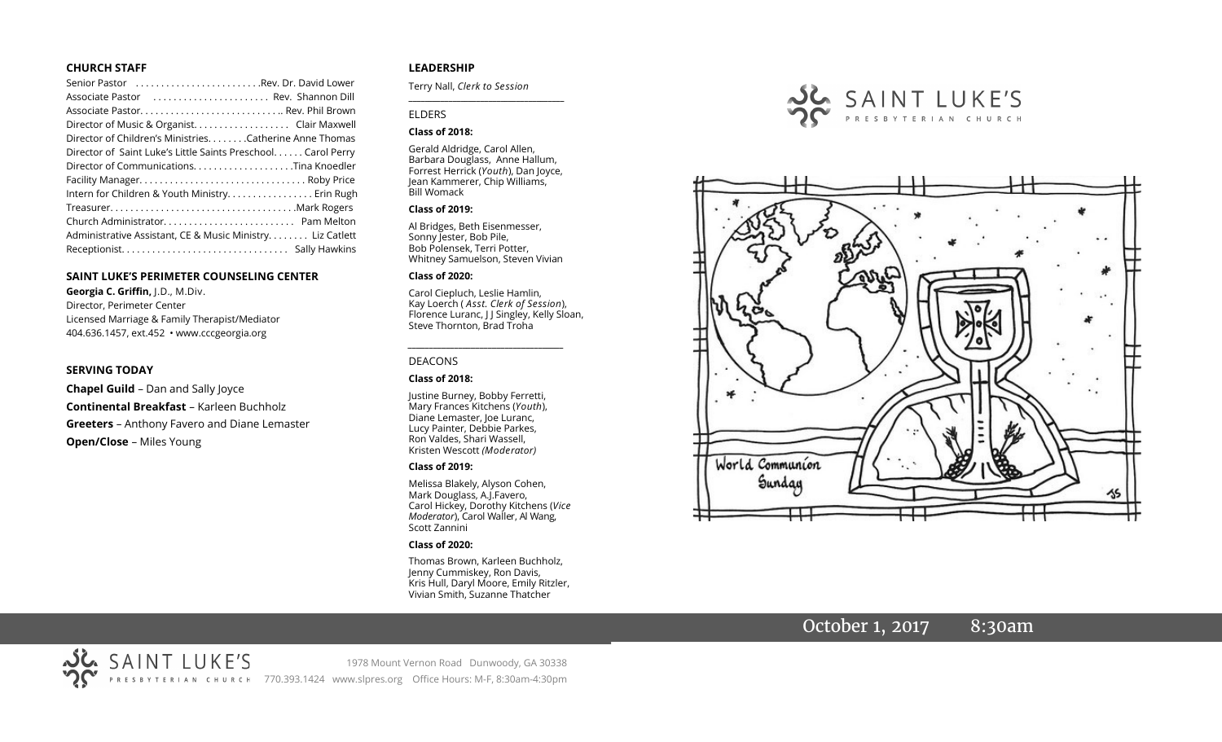#### **CHURCH STAFF**

| Senior Pastor Rev. Dr. David Lower                           |
|--------------------------------------------------------------|
| Associate Pastor  Rev. Shannon Dill                          |
|                                                              |
| Director of Music & Organist. Clair Maxwell                  |
| Director of Children's Ministries. Catherine Anne Thomas     |
| Director of Saint Luke's Little Saints Preschool Carol Perry |
|                                                              |
|                                                              |
| Intern for Children & Youth Ministry Erin Rugh               |
|                                                              |
|                                                              |
| Administrative Assistant, CE & Music Ministry Liz Catlett    |
|                                                              |

#### **SAINT LUKE'S PERIMETER COUNSELING CENTER**

**Georgia C. Griffin,** J.D., M.Div. Director, Perimeter Center Licensed Marriage & Family Therapist/Mediator 404.636.1457, ext.452 • www.cccgeorgia.org

#### **SERVING TODAY**

**Chapel Guild** – Dan and Sally Joyce **Continental Breakfast** – Karleen Buchholz **Greeters** – Anthony Favero and Diane Lemaster **Open/Close** – Miles Young

#### **LEADERSHIP**

Terry Nall, *Clerk to Session* 

#### ELDERS

#### **Class of 2018:**

Gerald Aldridge, Carol Allen, Barbara Douglass, Anne Hallum, Forrest Herrick (*Youth*), Dan Joyce, Jean Kammerer, Chip Williams, Bill Womack

**\_\_\_\_\_\_\_\_\_\_\_\_\_\_\_\_\_\_\_\_\_\_\_\_\_\_\_\_\_\_\_\_\_\_\_\_\_\_\_**

#### **Class of 2019:**

Al Bridges, Beth Eisenmesser, Sonny Jester, Bob Pile, Bob Polensek, Terri Potter, Whitney Samuelson, Steven Vivian

#### **Class of 2020:**

Carol Ciepluch, Leslie Hamlin, Kay Loerch ( *Asst. Clerk of Session*), Florence Luranc, J J Singley, Kelly Sloan, Steve Thornton, Brad Troha

*\_\_\_\_\_\_\_\_\_\_\_\_\_\_\_\_\_\_\_\_\_\_\_\_\_\_\_\_\_\_\_\_\_\_\_\_\_*

#### DEACONS

#### **Class of 2018:**

Justine Burney, Bobby Ferretti, Mary Frances Kitchens (*Youth*), Diane Lemaster, Joe Luranc, Lucy Painter, Debbie Parkes, Ron Valdes, Shari Wassell, Kristen Wescott *(Moderator)*

#### **Class of 2019:**

Melissa Blakely, Alyson Cohen, Mark Douglass, A.J.Favero, Carol Hickey, Dorothy Kitchens (*Vice Moderator*), Carol Waller, Al Wang, Scott Zannini

#### **Class of 2020:**

Thomas Brown, Karleen Buchholz, Jenny Cummiskey, Ron Davis, Kris Hull, Daryl Moore, Emily Ritzler, Vivian Smith, Suzanne Thatcher





# October 1, 2017 8:30am

SAINT LUKE'S 1978 Mount Vernon Road Dunwoody, GA 30338 PRESBYTERIAN CHURCH 770.393.1424 www.slpres.org Office Hours: M-F, 8:30am-4:30pm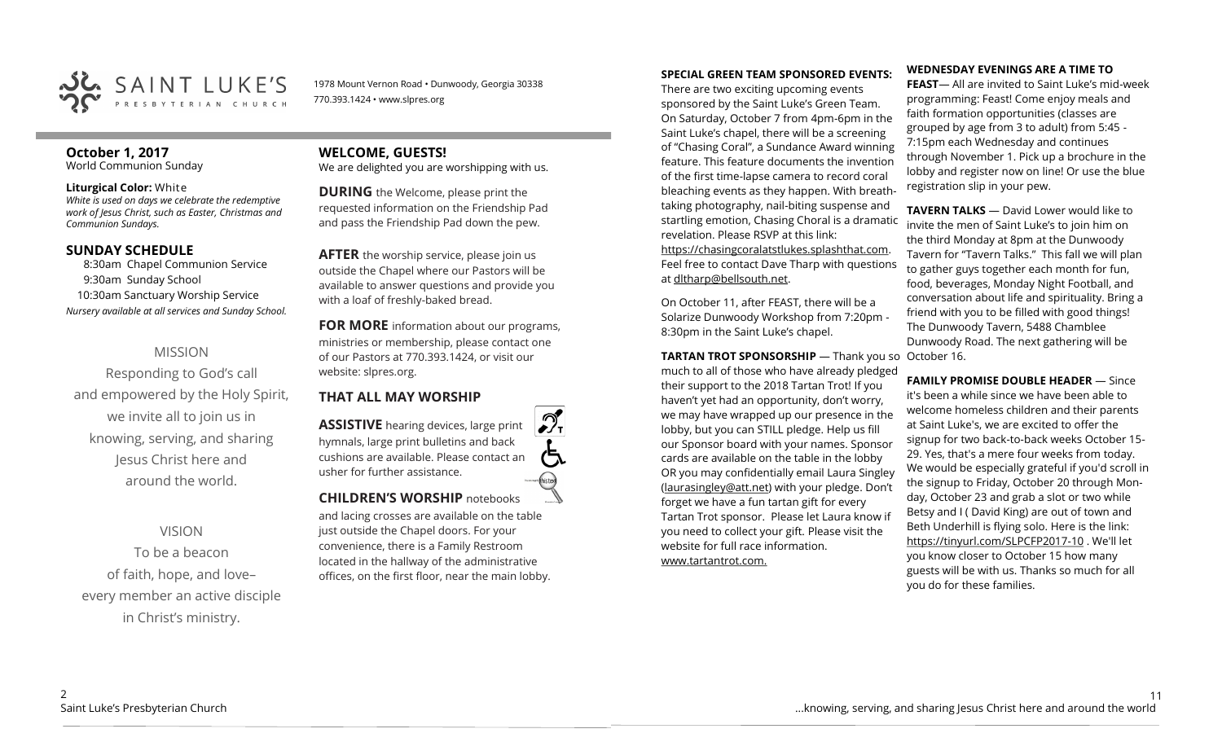

1978 Mount Vernon Road • Dunwoody, Georgia 30338 770.393.1424 • www.slpres.org

# **October 1, 2017**

World Communion Sunday

#### **Liturgical Color:** White

*White is used on days we celebrate the redemptive work of Jesus Christ, such as Easter, Christmas and Communion Sundays.* 

### **SUNDAY SCHEDULE**

8:30am Chapel Communion Service 9:30am Sunday School 10:30am Sanctuary Worship Service *Nursery available at all services and Sunday School.*

# MISSION

Responding to God's call and empowered by the Holy Spirit, we invite all to join us in knowing, serving, and sharing Jesus Christ here and around the world.

# VISION

To be a beacon of faith, hope, and love– every member an active disciple in Christ's ministry.

# **WELCOME, GUESTS!**

We are delighted you are worshipping with us.

**DURING** the Welcome, please print the requested information on the Friendship Pad and pass the Friendship Pad down the pew.

**AFTER** the worship service, please join us outside the Chapel where our Pastors will be available to answer questions and provide you with a loaf of freshly-baked bread.

**FOR MORE** information about our programs, ministries or membership, please contact one of our Pastors at 770.393.1424, or visit our website: slpres.org.

### **THAT ALL MAY WORSHIP**

**ASSISTIVE** hearing devices, large print hymnals, large print bulletins and back cushions are available. Please contact an usher for further assistance. histext **CHILDREN'S WORSHIP** notebooks

and lacing crosses are available on the table just outside the Chapel doors. For your convenience, there is a Family Restroom located in the hallway of the administrative offices, on the first floor, near the main lobby.

#### **SPECIAL GREEN TEAM SPONSORED EVENTS:**

There are two exciting upcoming events sponsored by the Saint Luke's Green Team. On Saturday, October 7 from 4pm-6pm in the Saint Luke's chapel, there will be a screening of "Chasing Coral", a Sundance Award winning feature. This feature documents the invention of the first time-lapse camera to record coral bleaching events as they happen. With breathtaking photography, nail-biting suspense and startling emotion, Chasing Choral is a dramatic revelation. Please RSVP at this link: https://chasingcoralatstlukes.splashthat.com. Feel free to contact Dave Tharp with questions at dltharp@bellsouth.net.

On October 11, after FEAST, there will be a Solarize Dunwoody Workshop from 7:20pm - 8:30pm in the Saint Luke's chapel.

**TARTAN TROT SPONSORSHIP** — Thank you so October 16. much to all of those who have already pledged their support to the 2018 Tartan Trot! If you haven't yet had an opportunity, don't worry, we may have wrapped up our presence in the lobby, but you can STILL pledge. Help us fill our Sponsor board with your names. Sponsor cards are available on the table in the lobby OR you may confidentially email Laura Singley [\(laurasingley@att.net\)](mailto:laurasingley@att.net) with your pledge. Don't forget we have a fun tartan gift for every Tartan Trot sponsor. Please let Laura know if you need to collect your gift. Please visit the website for full race information. www.tartantrot.com.

#### **WEDNESDAY EVENINGS ARE A TIME TO**

**FEAST**— All are invited to Saint Luke's mid-week programming: Feast! Come enjoy meals and faith formation opportunities (classes are grouped by age from 3 to adult) from 5:45 - 7:15pm each Wednesday and continues through November 1. Pick up a brochure in the lobby and register now on line! Or use the blue registration slip in your pew.

**TAVERN TALKS** — David Lower would like to invite the men of Saint Luke's to join him on the third Monday at 8pm at the Dunwoody Tavern for "Tavern Talks." This fall we will plan to gather guys together each month for fun, food, beverages, Monday Night Football, and conversation about life and spirituality. Bring a friend with you to be filled with good things! The Dunwoody Tavern, 5488 Chamblee Dunwoody Road. The next gathering will be

**FAMILY PROMISE DOUBLE HEADER** — Since it's been a while since we have been able to welcome homeless children and their parents at Saint Luke's, we are excited to offer the signup for two back-to-back weeks October 15- 29. Yes, that's a mere four weeks from today. We would be especially grateful if you'd scroll in the signup to Friday, October 20 through Monday, October 23 and grab a slot or two while Betsy and I ( David King) are out of town and Beth Underhill is flying solo. Here is the link: [https://tinyurl.com/SLPCFP2017](https://tinyurl.com/SLPCFP2017-10)-10 . We'll let you know closer to October 15 how many guests will be with us. Thanks so much for all you do for these families.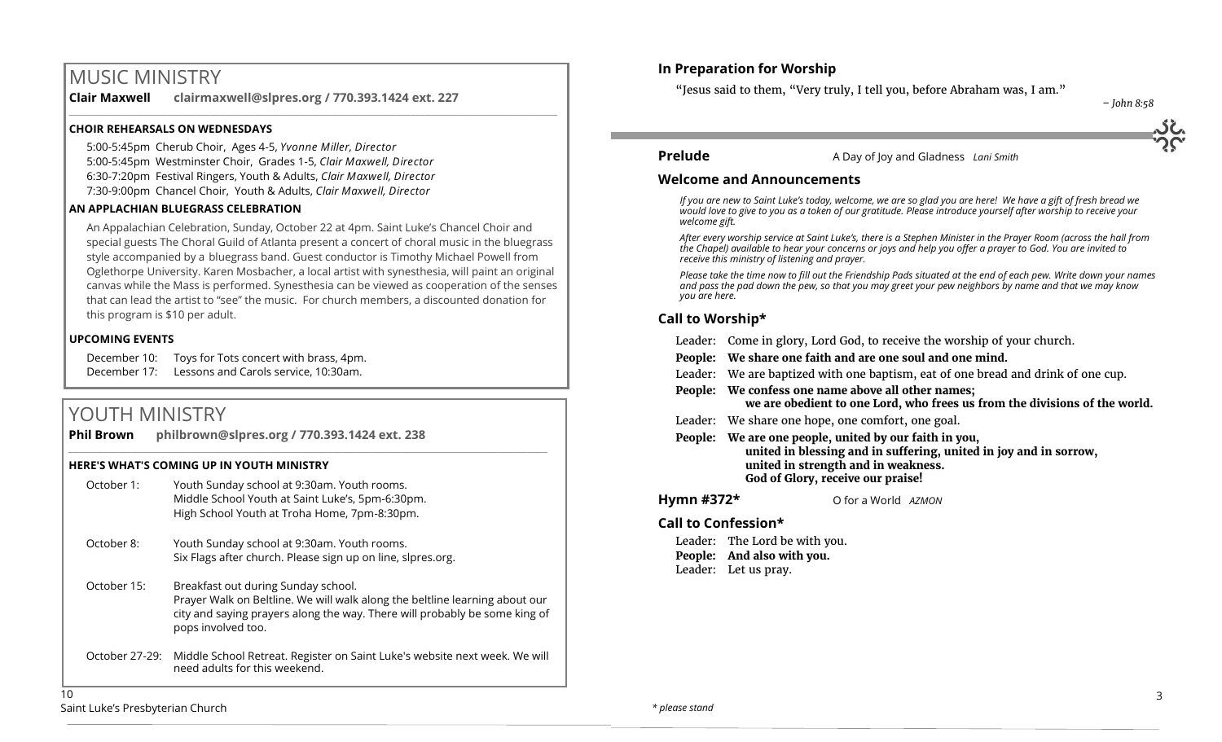# MUSIC MINISTRY

**Clair Maxwell clairmaxwell@slpres.org / 770.393.1424 ext. 227**  \_\_\_\_\_\_\_\_\_\_\_\_\_\_\_\_\_\_\_\_\_\_\_\_\_\_\_\_\_\_\_\_\_\_\_\_\_\_\_\_\_\_\_\_\_\_\_\_\_\_\_\_\_\_\_\_\_\_\_\_\_\_\_\_\_\_\_\_\_\_\_\_\_\_\_\_\_\_\_\_\_\_\_\_\_\_\_\_\_\_\_\_\_\_\_\_\_\_\_\_

#### **CHOIR REHEARSALS ON WEDNESDAYS**

5:00-5:45pm Cherub Choir, Ages 4-5, *Yvonne Miller, Director*  5:00-5:45pm Westminster Choir, Grades 1-5, *Clair Maxwell, Director*  6:30-7:20pm Festival Ringers, Youth & Adults, *Clair Maxwell, Director*  7:30-9:00pm Chancel Choir, Youth & Adults, *Clair Maxwell, Director* 

#### **AN APPLACHIAN BLUEGRASS CELEBRATION**

An Appalachian Celebration, Sunday, October 22 at 4pm. Saint Luke's Chancel Choir and special guests The Choral Guild of Atlanta present a concert of choral music in the bluegrass style accompanied by a bluegrass band. Guest conductor is Timothy Michael Powell from Oglethorpe University. Karen Mosbacher, a local artist with synesthesia, will paint an original canvas while the Mass is performed. Synesthesia can be viewed as cooperation of the senses that can lead the artist to "see" the music. For church members, a discounted donation for this program is \$10 per adult.

#### **UPCOMING EVENTS**

December 10: Toys for Tots concert with brass, 4pm. December 17: Lessons and Carols service, 10:30am.

# YOUTH MINISTRY

| <b>Phil Brown</b> | philbrown@slpres.org / 770.393.1424 ext. 238                                                                                                                                                                           |
|-------------------|------------------------------------------------------------------------------------------------------------------------------------------------------------------------------------------------------------------------|
|                   | <b>HERE'S WHAT'S COMING UP IN YOUTH MINISTRY</b>                                                                                                                                                                       |
| October 1:        | Youth Sunday school at 9:30am. Youth rooms.<br>Middle School Youth at Saint Luke's, 5pm-6:30pm.<br>High School Youth at Troha Home, 7pm-8:30pm.                                                                        |
| October 8:        | Youth Sunday school at 9:30am. Youth rooms.<br>Six Flags after church. Please sign up on line, slpres.org.                                                                                                             |
| October 15:       | Breakfast out during Sunday school.<br>Prayer Walk on Beltline. We will walk along the beltline learning about our<br>city and saying prayers along the way. There will probably be some king of<br>pops involved too. |
| October 27-29:    | Middle School Retreat. Register on Saint Luke's website next week. We will<br>need adults for this weekend.                                                                                                            |
| 10                |                                                                                                                                                                                                                        |

# **In Preparation for Worship**

"Jesus said to them, "Very truly, I tell you, before Abraham was, I am."

 *– John 8:58*



#### **Prelude** A Day of Joy and Gladness *Lani Smith*

#### **Welcome and Announcements**

*If you are new to Saint Luke's today, welcome, we are so glad you are here! We have a gift of fresh bread we would love to give to you as a token of our gratitude. Please introduce yourself after worship to receive your welcome gift.*

*After every worship service at Saint Luke's, there is a Stephen Minister in the Prayer Room (across the hall from the Chapel) available to hear your concerns or joys and help you offer a prayer to God. You are invited to receive this ministry of listening and prayer.*

*Please take the time now to fill out the Friendship Pads situated at the end of each pew. Write down your names and pass the pad down the pew, so that you may greet your pew neighbors by name and that we may know you are here.*

#### **Call to Worship\***

|            | Leader: Come in glory, Lord God, to receive the worship of your church.                                                                                                                         |
|------------|-------------------------------------------------------------------------------------------------------------------------------------------------------------------------------------------------|
|            | People: We share one faith and are one soul and one mind.                                                                                                                                       |
|            | Leader: We are baptized with one baptism, eat of one bread and drink of one cup.                                                                                                                |
|            | People: We confess one name above all other names;<br>we are obedient to one Lord, who frees us from the divisions of the world.                                                                |
|            | Leader: We share one hope, one comfort, one goal.                                                                                                                                               |
| People:    | We are one people, united by our faith in you,<br>united in blessing and in suffering, united in joy and in sorrow,<br>united in strength and in weakness.<br>God of Glory, receive our praise! |
| Hymn #372* | O for a World AZMON                                                                                                                                                                             |
|            | Call to Confession*                                                                                                                                                                             |

#### Leader: The Lord be with you. **People: And also with you.** Leader: Let us pray.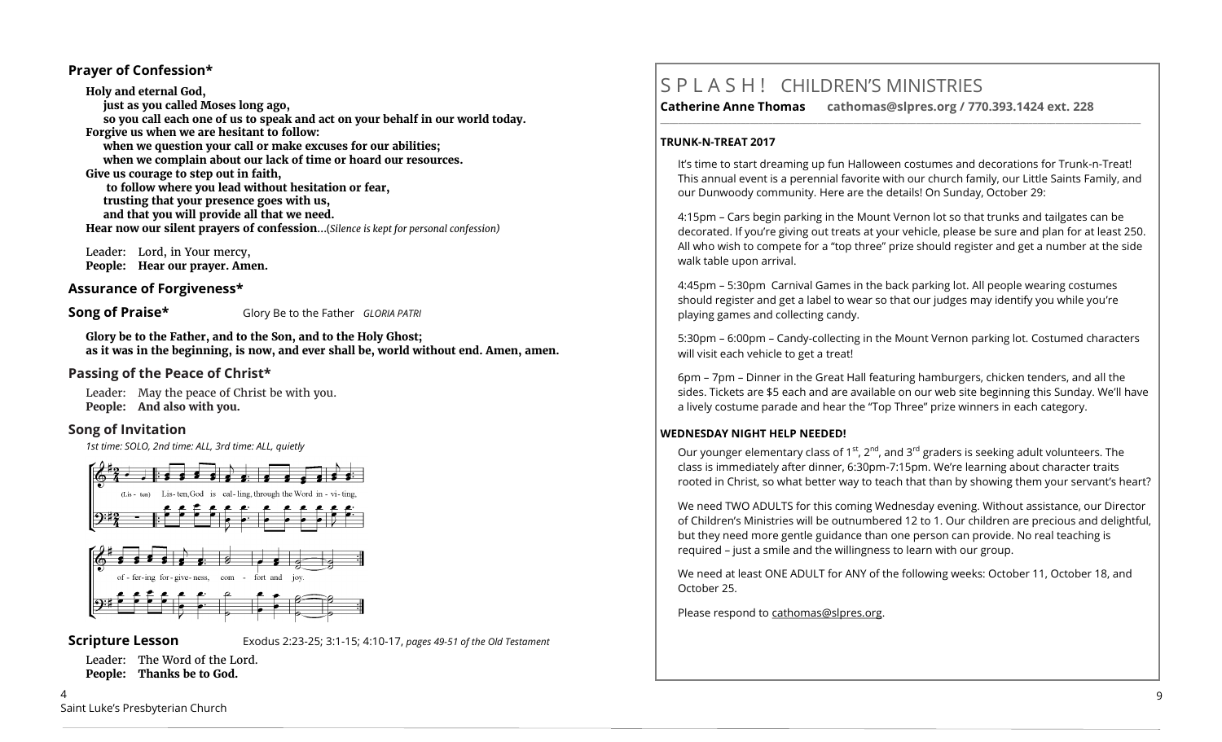### **Prayer of Confession\***

**Holy and eternal God, just as you called Moses long ago, so you call each one of us to speak and act on your behalf in our world today. Forgive us when we are hesitant to follow: when we question your call or make excuses for our abilities; when we complain about our lack of time or hoard our resources. Give us courage to step out in faith, to follow where you lead without hesitation or fear, trusting that your presence goes with us, and that you will provide all that we need. Hear now our silent prayers of confession**...(*Silence is kept for personal confession)* 

 Leader: Lord, in Your mercy, **People: Hear our prayer. Amen.**

### **Assurance of Forgiveness\***

**Song of Praise\*** Glory Be to the Father *GLORIA PATRI* 

**Glory be to the Father, and to the Son, and to the Holy Ghost; as it was in the beginning, is now, and ever shall be, world without end. Amen, amen.**

### **Passing of the Peace of Christ\***

Leader: May the peace of Christ be with you. **People: And also with you.**

### **Song of Invitation**

*1st time: SOLO, 2nd time: ALL, 3rd time: ALL, quietly*





4

**Scripture Lesson** Exodus 2:23-25; 3:1-15; 4:10-17, *pages 49-51 of the Old Testament*

Leader: The Word of the Lord. **People: Thanks be to God.**

# S P L A S H ! CHILDREN'S MINISTRIES

**Catherine Anne Thomas cathomas@slpres.org / 770.393.1424 ext. 228 \_\_\_\_\_\_\_\_\_\_\_\_\_\_\_\_\_\_\_\_\_\_\_\_\_\_\_\_\_\_\_\_\_\_\_\_\_\_\_\_\_\_\_\_\_\_\_\_\_\_\_\_\_\_\_\_\_\_\_\_\_\_\_\_\_\_\_\_\_\_\_\_\_\_\_\_\_\_\_\_\_\_\_\_\_\_\_\_\_\_\_\_\_\_\_\_\_\_\_\_\_\_\_\_\_\_\_** 

#### **TRUNK-N-TREAT 2017**

It's time to start dreaming up fun Halloween costumes and decorations for Trunk-n-Treat! This annual event is a perennial favorite with our church family, our Little Saints Family, and our Dunwoody community. Here are the details! On Sunday, October 29:

4:15pm – Cars begin parking in the Mount Vernon lot so that trunks and tailgates can be decorated. If you're giving out treats at your vehicle, please be sure and plan for at least 250. All who wish to compete for a "top three" prize should register and get a number at the side walk table upon arrival.

4:45pm – 5:30pm Carnival Games in the back parking lot. All people wearing costumes should register and get a label to wear so that our judges may identify you while you're playing games and collecting candy.

5:30pm – 6:00pm – Candy-collecting in the Mount Vernon parking lot. Costumed characters will visit each vehicle to get a treat!

6pm – 7pm – Dinner in the Great Hall featuring hamburgers, chicken tenders, and all the sides. Tickets are \$5 each and are available on our web site beginning this Sunday. We'll have a lively costume parade and hear the "Top Three" prize winners in each category.

### **WEDNESDAY NIGHT HELP NEEDED!**

Our younger elementary class of 1<sup>st</sup>, 2<sup>nd</sup>, and 3<sup>rd</sup> graders is seeking adult volunteers. The class is immediately after dinner, 6:30pm-7:15pm. We're learning about character traits rooted in Christ, so what better way to teach that than by showing them your servant's heart?

We need TWO ADULTS for this coming Wednesday evening. Without assistance, our Director of Children's Ministries will be outnumbered 12 to 1. Our children are precious and delightful, but they need more gentle guidance than one person can provide. No real teaching is required – just a smile and the willingness to learn with our group.

We need at least ONE ADULT for ANY of the following weeks: October 11, October 18, and October 25.

Please respond to [cathomas@slpres.org.](mailto:cathomas@slpres.org)

Saint Luke's Presbyterian Church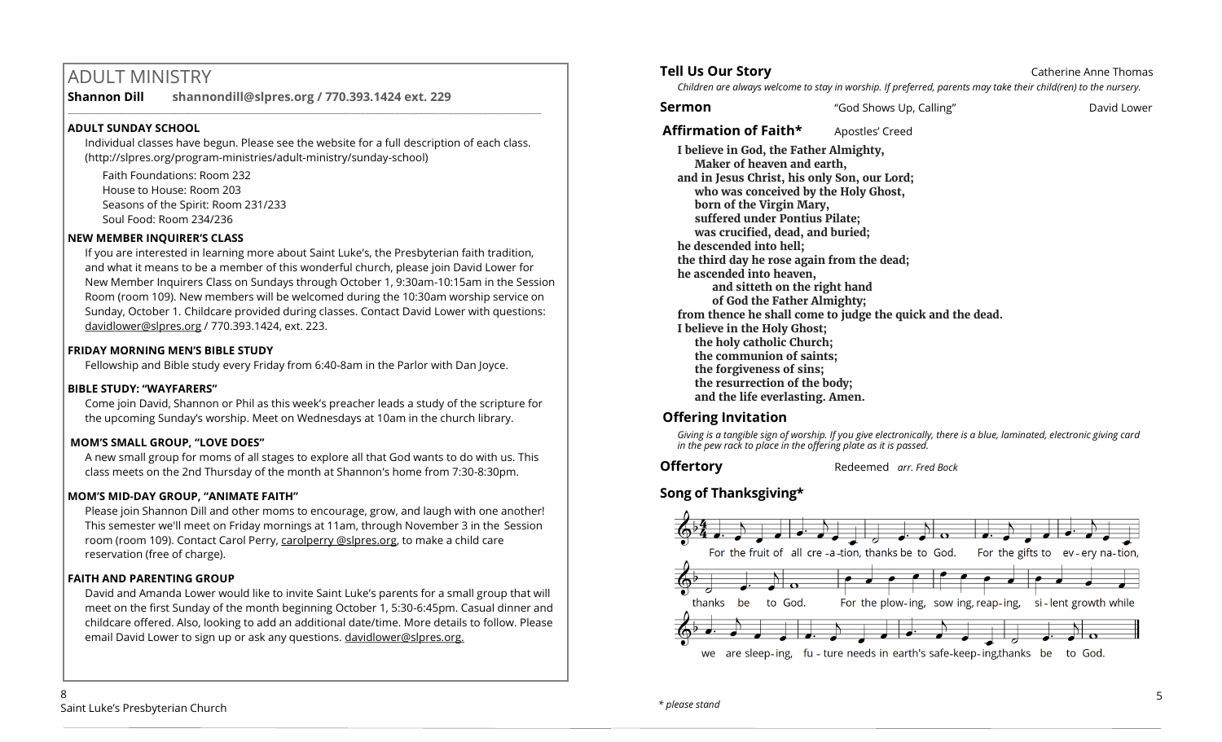# ADULT MINISTRY

**Shannon Dill shannondill@slpres.org / 770.393.1424 ext. 229** 

# **ADULT SUNDAY SCHOOL**

Individual classes have begun. Please see the website for a full description of each class. (http://slpres.org/program-ministries/adult-ministry/sunday-school)

 $\_$  ,  $\_$  ,  $\_$  ,  $\_$  ,  $\_$  ,  $\_$  ,  $\_$  ,  $\_$  ,  $\_$  ,  $\_$  ,  $\_$  ,  $\_$  ,  $\_$  ,  $\_$  ,  $\_$  ,  $\_$  ,  $\_$  ,  $\_$  ,  $\_$ 

Faith Foundations: Room 232 House to House: Room 203 Seasons of the Spirit: Room 231/233 Soul Food: Room 234/236

# **NEW MEMBER INQUIRER'S CLASS**

If you are interested in learning more about Saint Luke's, the Presbyterian faith tradition, and what it means to be a member of this wonderful church, please join David Lower for New Member Inquirers Class on Sundays through October 1, 9:30am-10:15am in the Session Room (room 109). New members will be welcomed during the 10:30am worship service on Sunday, October 1. Childcare provided during classes. Contact David Lower with questions: [davidlower@slpres.org](mailto:davidlower@slpres.org) / 770.393.1424, ext. 223.

# **FRIDAY MORNING MEN'S BIBLE STUDY**

Fellowship and Bible study every Friday from 6:40-8am in the Parlor with Dan Joyce.

# **BIBLE STUDY: "WAYFARERS"**

Come join David, Shannon or Phil as this week's preacher leads a study of the scripture for the upcoming Sunday's worship. Meet on Wednesdays at 10am in the church library.

# **MOM'S SMALL GROUP, "LOVE DOES"**

A new small group for moms of all stages to explore all that God wants to do with us. This class meets on the 2nd Thursday of the month at Shannon's home from 7:30-8:30pm.

# **MOM'S MID-DAY GROUP, "ANIMATE FAITH"**

Please join Shannon Dill and other moms to encourage, grow, and laugh with one another! This semester we'll meet on Friday mornings at 11am, through November 3 in the Session room (room 109). Contact Carol Perry, carolperry @slpres.org, to make a child care reservation (free of charge).

# **FAITH AND PARENTING GROUP**

David and Amanda Lower would like to invite Saint Luke's parents for a small group that will meet on the first Sunday of the month beginning October 1, 5:30-6:45pm. Casual dinner and childcare offered. Also, looking to add an additional date/time. More details to follow. Please email David Lower to sign up or ask any questions. davidlower@slpres.org.

# **Tell Us Our Story Catherine Anne Thomas Catherine Anne Thomas**

*Children are always welcome to stay in worship. If preferred, parents may take their child(ren) to the nursery.*

**Sermon** "God Shows Up, Calling" David Lower

**Affirmation of Faith\*** Apostles' Creed

**I believe in God, the Father Almighty, Maker of heaven and earth, and in Jesus Christ, his only Son, our Lord; who was conceived by the Holy Ghost, born of the Virgin Mary, suffered under Pontius Pilate; was crucified, dead, and buried; he descended into hell; the third day he rose again from the dead; he ascended into heaven, and sitteth on the right hand of God the Father Almighty; from thence he shall come to judge the quick and the dead. I believe in the Holy Ghost; the holy catholic Church; the communion of saints; the forgiveness of sins; the resurrection of the body; and the life everlasting. Amen.**

# **Offering Invitation**

*Giving is a tangible sign of worship. If you give electronically, there is a blue, laminated, electronic giving card in the pew rack to place in the offering plate as it is passed.*

**Offertory** Redeemed *arr. Fred Bock* 

# **Song of Thanksgiving\***